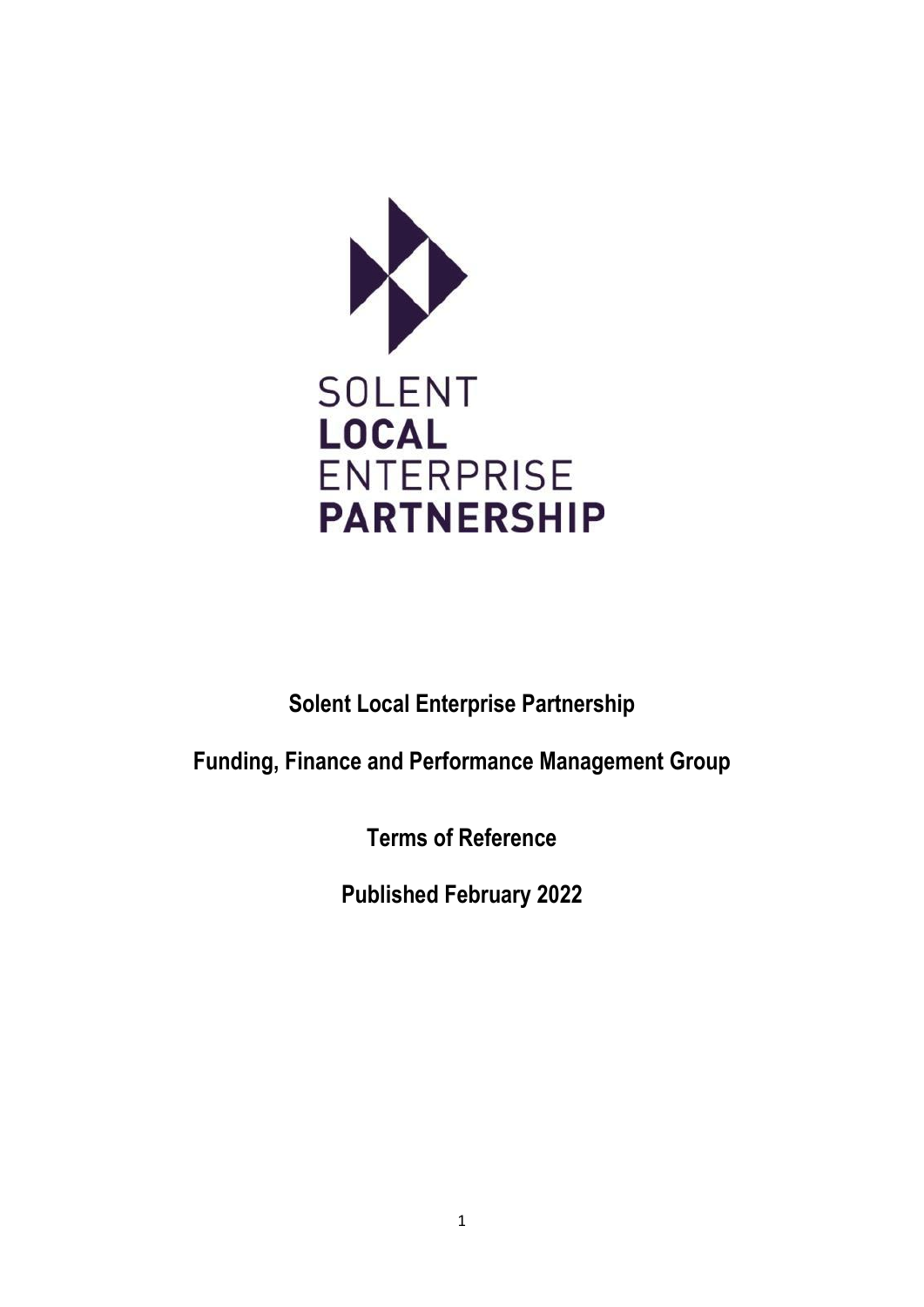

**Solent Local Enterprise Partnership**

**Funding, Finance and Performance Management Group**

**Terms of Reference**

**Published February 2022**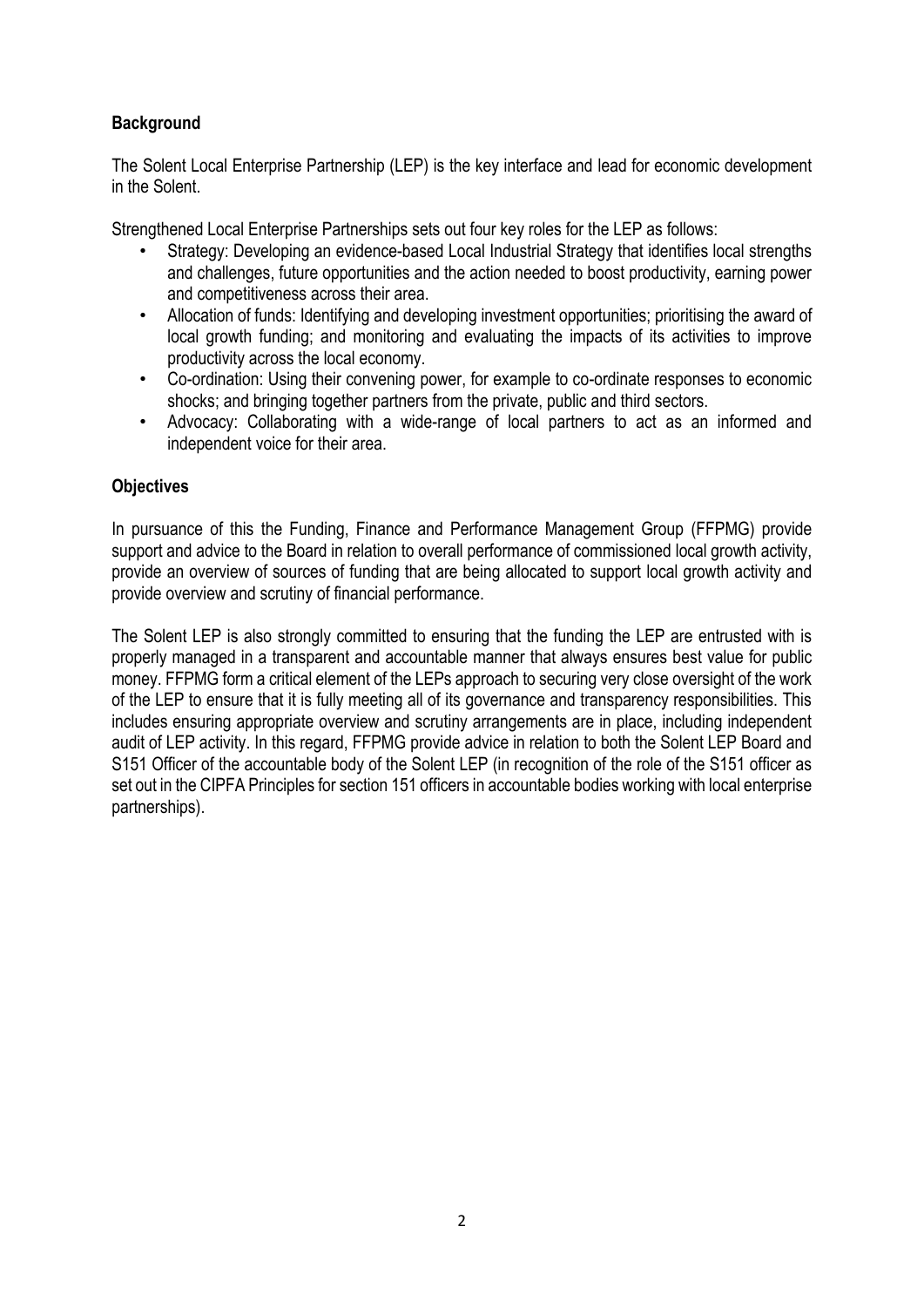# **Background**

The Solent Local Enterprise Partnership (LEP) is the key interface and lead for economic development in the Solent.

Strengthened Local Enterprise Partnerships sets out four key roles for the LEP as follows:

- Strategy: Developing an evidence-based Local Industrial Strategy that identifies local strengths and challenges, future opportunities and the action needed to boost productivity, earning power and competitiveness across their area.
- Allocation of funds: Identifying and developing investment opportunities; prioritising the award of local growth funding; and monitoring and evaluating the impacts of its activities to improve productivity across the local economy.
- Co-ordination: Using their convening power, for example to co-ordinate responses to economic shocks; and bringing together partners from the private, public and third sectors.
- Advocacy: Collaborating with a wide-range of local partners to act as an informed and independent voice for their area.

# **Objectives**

In pursuance of this the Funding, Finance and Performance Management Group (FFPMG) provide support and advice to the Board in relation to overall performance of commissioned local growth activity, provide an overview of sources of funding that are being allocated to support local growth activity and provide overview and scrutiny of financial performance.

The Solent LEP is also strongly committed to ensuring that the funding the LEP are entrusted with is properly managed in a transparent and accountable manner that always ensures best value for public money. FFPMG form a critical element of the LEPs approach to securing very close oversight of the work of the LEP to ensure that it is fully meeting all of its governance and transparency responsibilities. This includes ensuring appropriate overview and scrutiny arrangements are in place, including independent audit of LEP activity. In this regard, FFPMG provide advice in relation to both the Solent LEP Board and S151 Officer of the accountable body of the Solent LEP (in recognition of the role of the S151 officer as set out in the CIPFA Principles for section 151 officers in accountable bodies working with local enterprise partnerships).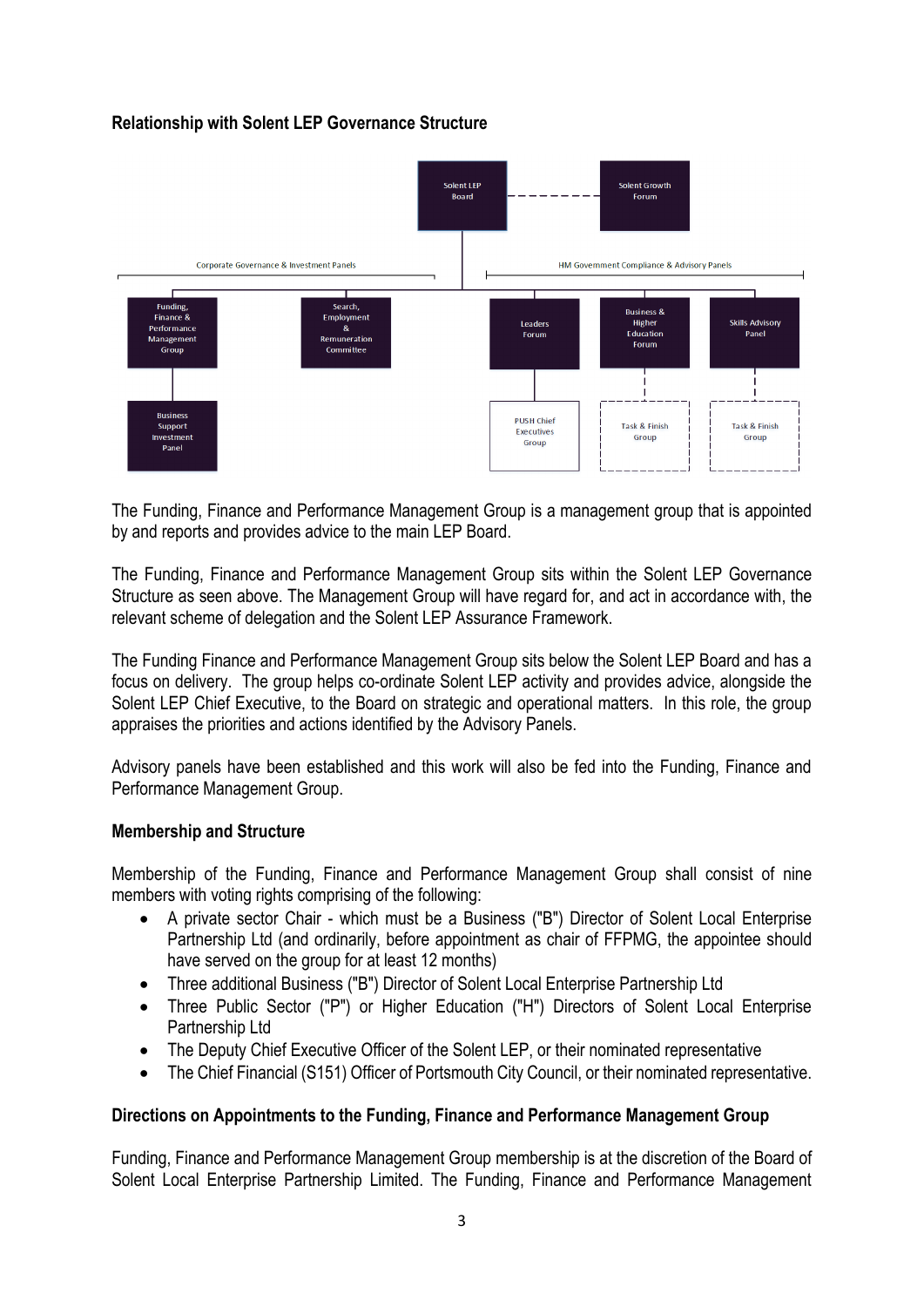# **Relationship with Solent LEP Governance Structure**



The Funding, Finance and Performance Management Group is a management group that is appointed by and reports and provides advice to the main LEP Board.

The Funding, Finance and Performance Management Group sits within the Solent LEP Governance Structure as seen above. The Management Group will have regard for, and act in accordance with, the relevant scheme of delegation and the Solent LEP Assurance Framework.

The Funding Finance and Performance Management Group sits below the Solent LEP Board and has a focus on delivery. The group helps co-ordinate Solent LEP activity and provides advice, alongside the Solent LEP Chief Executive, to the Board on strategic and operational matters. In this role, the group appraises the priorities and actions identified by the Advisory Panels.

Advisory panels have been established and this work will also be fed into the Funding, Finance and Performance Management Group.

#### **Membership and Structure**

Membership of the Funding, Finance and Performance Management Group shall consist of nine members with voting rights comprising of the following:

- A private sector Chair which must be a Business ("B") Director of Solent Local Enterprise Partnership Ltd (and ordinarily, before appointment as chair of FFPMG, the appointee should have served on the group for at least 12 months)
- Three additional Business ("B") Director of Solent Local Enterprise Partnership Ltd
- Three Public Sector ("P") or Higher Education ("H") Directors of Solent Local Enterprise Partnership Ltd
- The Deputy Chief Executive Officer of the Solent LEP, or their nominated representative
- The Chief Financial (S151) Officer of Portsmouth City Council, or their nominated representative.

# **Directions on Appointments to the Funding, Finance and Performance Management Group**

Funding, Finance and Performance Management Group membership is at the discretion of the Board of Solent Local Enterprise Partnership Limited. The Funding, Finance and Performance Management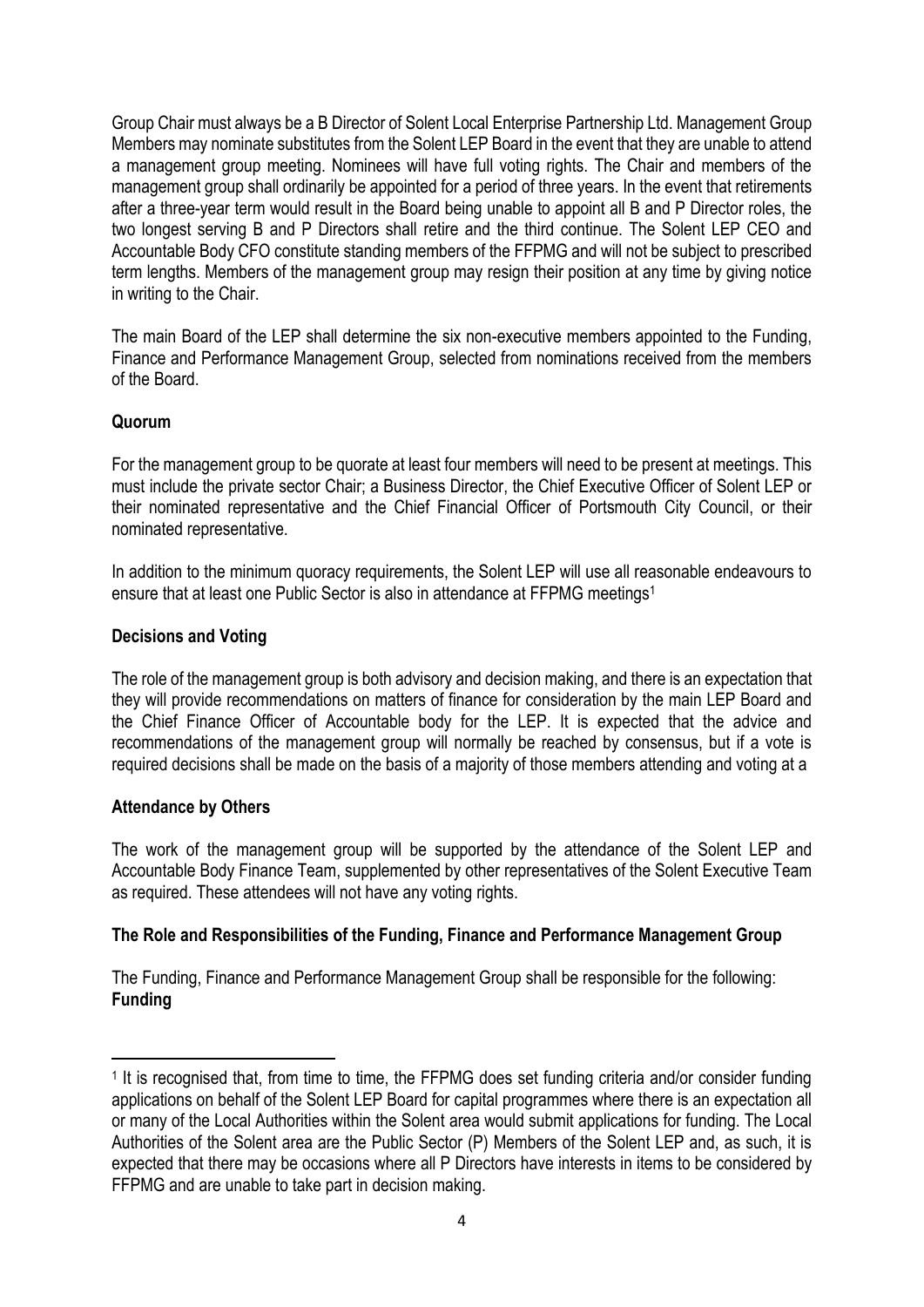Group Chair must always be a B Director of Solent Local Enterprise Partnership Ltd. Management Group Members may nominate substitutes from the Solent LEP Board in the event that they are unable to attend a management group meeting. Nominees will have full voting rights. The Chair and members of the management group shall ordinarily be appointed for a period of three years. In the event that retirements after a three-year term would result in the Board being unable to appoint all B and P Director roles, the two longest serving B and P Directors shall retire and the third continue. The Solent LEP CEO and Accountable Body CFO constitute standing members of the FFPMG and will not be subject to prescribed term lengths. Members of the management group may resign their position at any time by giving notice in writing to the Chair.

The main Board of the LEP shall determine the six non-executive members appointed to the Funding, Finance and Performance Management Group, selected from nominations received from the members of the Board.

# **Quorum**

For the management group to be quorate at least four members will need to be present at meetings. This must include the private sector Chair; a Business Director, the Chief Executive Officer of Solent LEP or their nominated representative and the Chief Financial Officer of Portsmouth City Council, or their nominated representative.

In addition to the minimum quoracy requirements, the Solent LEP will use all reasonable endeavours to ensure that at least one Public Sector is also in attendance at FFPMG meetings<sup>1</sup>

# **Decisions and Voting**

The role of the management group is both advisory and decision making, and there is an expectation that they will provide recommendations on matters of finance for consideration by the main LEP Board and the Chief Finance Officer of Accountable body for the LEP. It is expected that the advice and recommendations of the management group will normally be reached by consensus, but if a vote is required decisions shall be made on the basis of a majority of those members attending and voting at a

# **Attendance by Others**

The work of the management group will be supported by the attendance of the Solent LEP and Accountable Body Finance Team, supplemented by other representatives of the Solent Executive Team as required. These attendees will not have any voting rights.

# **The Role and Responsibilities of the Funding, Finance and Performance Management Group**

The Funding, Finance and Performance Management Group shall be responsible for the following: **Funding**

<sup>&</sup>lt;sup>1</sup> It is recognised that, from time to time, the FFPMG does set funding criteria and/or consider funding applications on behalf of the Solent LEP Board for capital programmes where there is an expectation all or many of the Local Authorities within the Solent area would submit applications for funding. The Local Authorities of the Solent area are the Public Sector (P) Members of the Solent LEP and, as such, it is expected that there may be occasions where all P Directors have interests in items to be considered by FFPMG and are unable to take part in decision making.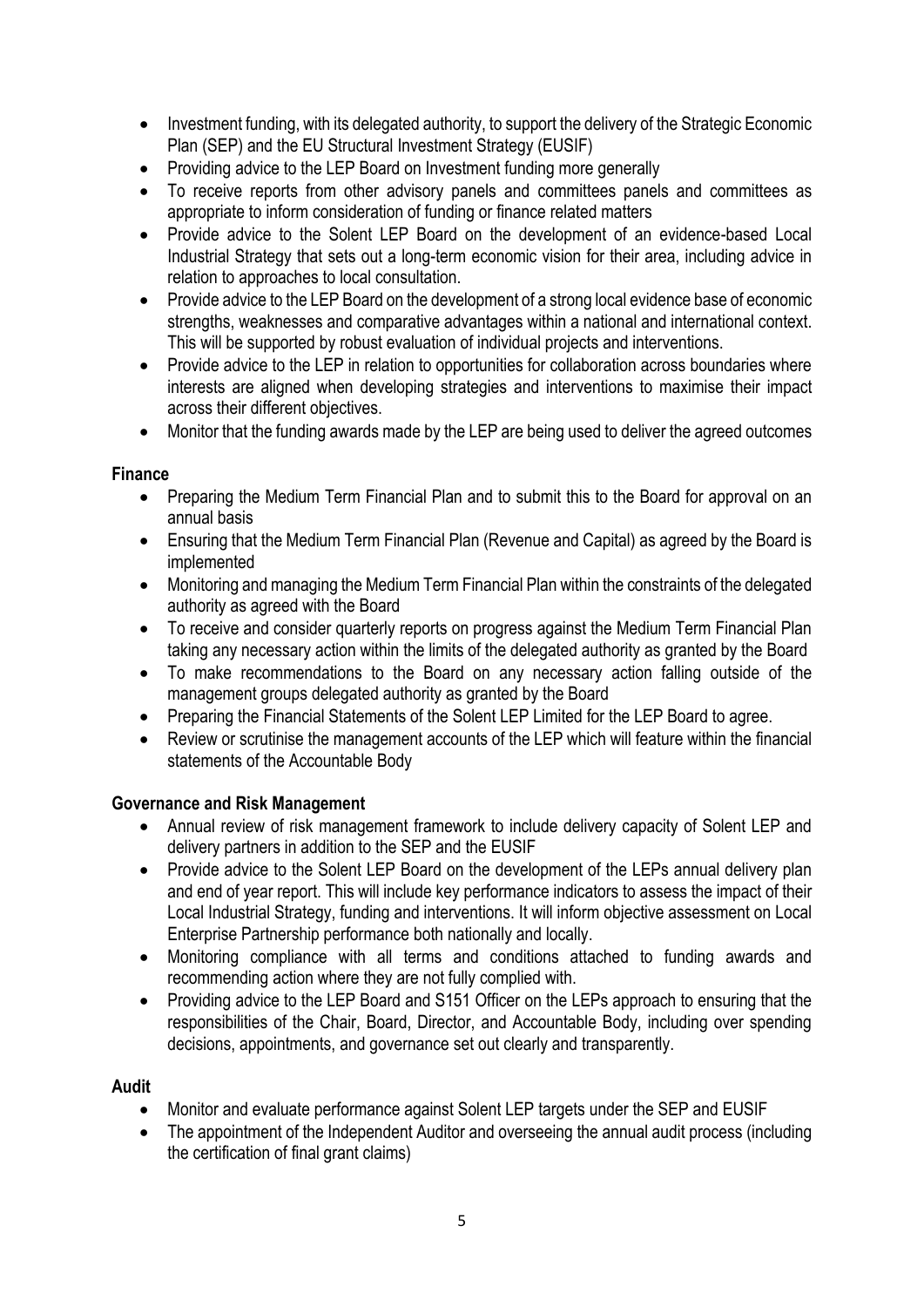- Investment funding, with its delegated authority, to support the delivery of the Strategic Economic Plan (SEP) and the EU Structural Investment Strategy (EUSIF)
- Providing advice to the LEP Board on Investment funding more generally
- To receive reports from other advisory panels and committees panels and committees as appropriate to inform consideration of funding or finance related matters
- Provide advice to the Solent LEP Board on the development of an evidence-based Local Industrial Strategy that sets out a long-term economic vision for their area, including advice in relation to approaches to local consultation.
- Provide advice to the LEP Board on the development of a strong local evidence base of economic strengths, weaknesses and comparative advantages within a national and international context. This will be supported by robust evaluation of individual projects and interventions.
- Provide advice to the LEP in relation to opportunities for collaboration across boundaries where interests are aligned when developing strategies and interventions to maximise their impact across their different objectives.
- Monitor that the funding awards made by the LEP are being used to deliver the agreed outcomes

# **Finance**

- Preparing the Medium Term Financial Plan and to submit this to the Board for approval on an annual basis
- Ensuring that the Medium Term Financial Plan (Revenue and Capital) as agreed by the Board is implemented
- Monitoring and managing the Medium Term Financial Plan within the constraints of the delegated authority as agreed with the Board
- To receive and consider quarterly reports on progress against the Medium Term Financial Plan taking any necessary action within the limits of the delegated authority as granted by the Board
- To make recommendations to the Board on any necessary action falling outside of the management groups delegated authority as granted by the Board
- Preparing the Financial Statements of the Solent LEP Limited for the LEP Board to agree.
- Review or scrutinise the management accounts of the LEP which will feature within the financial statements of the Accountable Body

# **Governance and Risk Management**

- Annual review of risk management framework to include delivery capacity of Solent LEP and delivery partners in addition to the SEP and the EUSIF
- Provide advice to the Solent LEP Board on the development of the LEPs annual delivery plan and end of year report. This will include key performance indicators to assess the impact of their Local Industrial Strategy, funding and interventions. It will inform objective assessment on Local Enterprise Partnership performance both nationally and locally.
- Monitoring compliance with all terms and conditions attached to funding awards and recommending action where they are not fully complied with.
- Providing advice to the LEP Board and S151 Officer on the LEPs approach to ensuring that the responsibilities of the Chair, Board, Director, and Accountable Body, including over spending decisions, appointments, and governance set out clearly and transparently.

# **Audit**

- Monitor and evaluate performance against Solent LEP targets under the SEP and EUSIF
- The appointment of the Independent Auditor and overseeing the annual audit process (including the certification of final grant claims)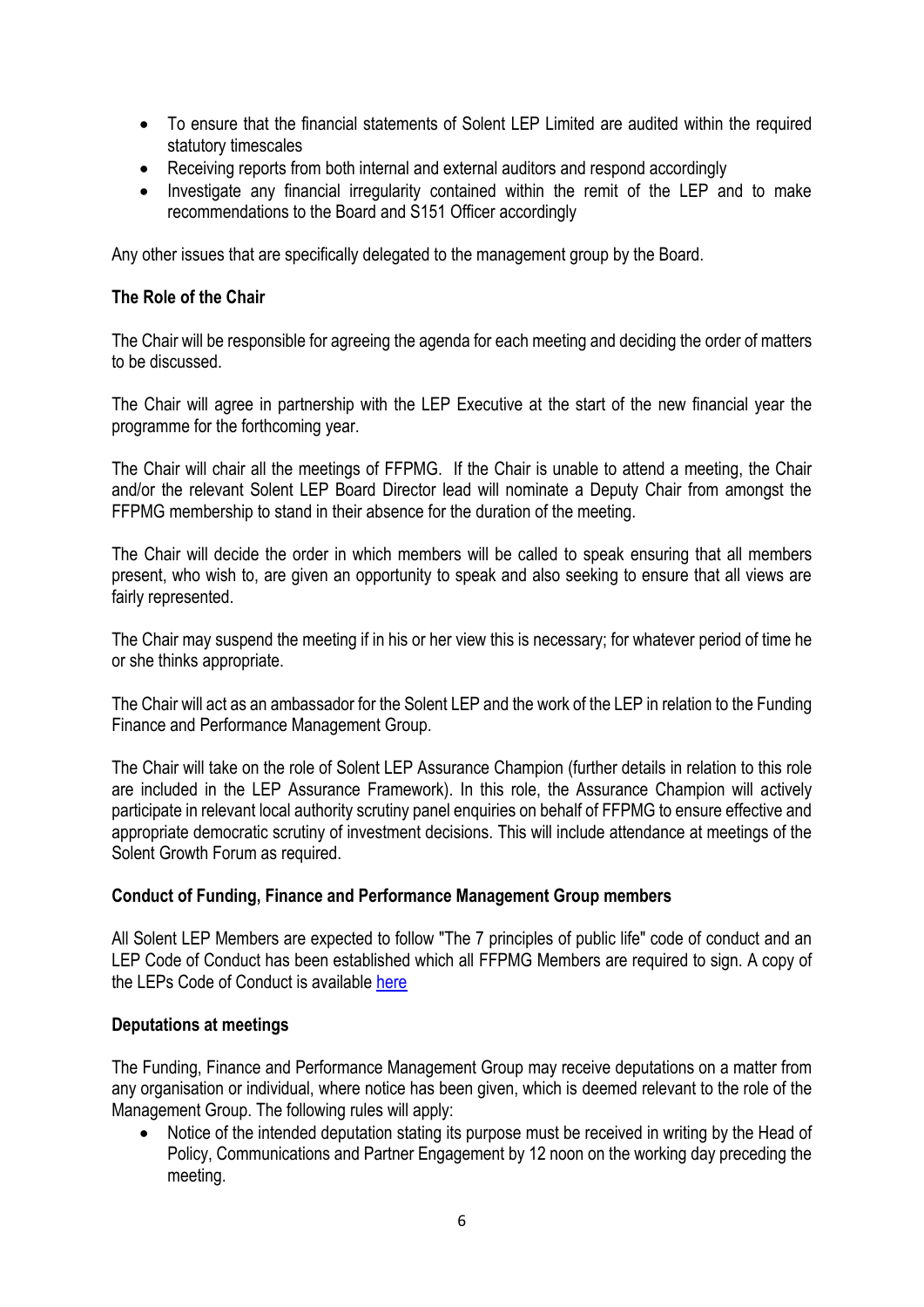- To ensure that the financial statements of Solent LEP Limited are audited within the required statutory timescales
- Receiving reports from both internal and external auditors and respond accordingly
- Investigate any financial irregularity contained within the remit of the LEP and to make recommendations to the Board and S151 Officer accordingly

Any other issues that are specifically delegated to the management group by the Board.

### **The Role of the Chair**

The Chair will be responsible for agreeing the agenda for each meeting and deciding the order of matters to be discussed.

The Chair will agree in partnership with the LEP Executive at the start of the new financial year the programme for the forthcoming year.

The Chair will chair all the meetings of FFPMG. If the Chair is unable to attend a meeting, the Chair and/or the relevant Solent LEP Board Director lead will nominate a Deputy Chair from amongst the FFPMG membership to stand in their absence for the duration of the meeting.

The Chair will decide the order in which members will be called to speak ensuring that all members present, who wish to, are given an opportunity to speak and also seeking to ensure that all views are fairly represented.

The Chair may suspend the meeting if in his or her view this is necessary; for whatever period of time he or she thinks appropriate.

The Chair will act as an ambassador for the Solent LEP and the work of the LEP in relation to the Funding Finance and Performance Management Group.

The Chair will take on the role of Solent LEP Assurance Champion (further details in relation to this role are included in the LEP Assurance Framework). In this role, the Assurance Champion will actively participate in relevant local authority scrutiny panel enquiries on behalf of FFPMG to ensure effective and appropriate democratic scrutiny of investment decisions. This will include attendance at meetings of the Solent Growth Forum as required.

# **Conduct of Funding, Finance and Performance Management Group members**

All Solent LEP Members are expected to follow "The 7 principles of public life" code of conduct and an LEP Code of Conduct has been established which all FFPMG Members are required to sign. A copy of the LEPs Code of Conduct is available [here](https://solentlep.org.uk/media/2382/solent-lep-code-of-conduct-blank-form.pdf)

#### **Deputations at meetings**

The Funding, Finance and Performance Management Group may receive deputations on a matter from any organisation or individual, where notice has been given, which is deemed relevant to the role of the Management Group. The following rules will apply:

Notice of the intended deputation stating its purpose must be received in writing by the Head of Policy, Communications and Partner Engagement by 12 noon on the working day preceding the meeting.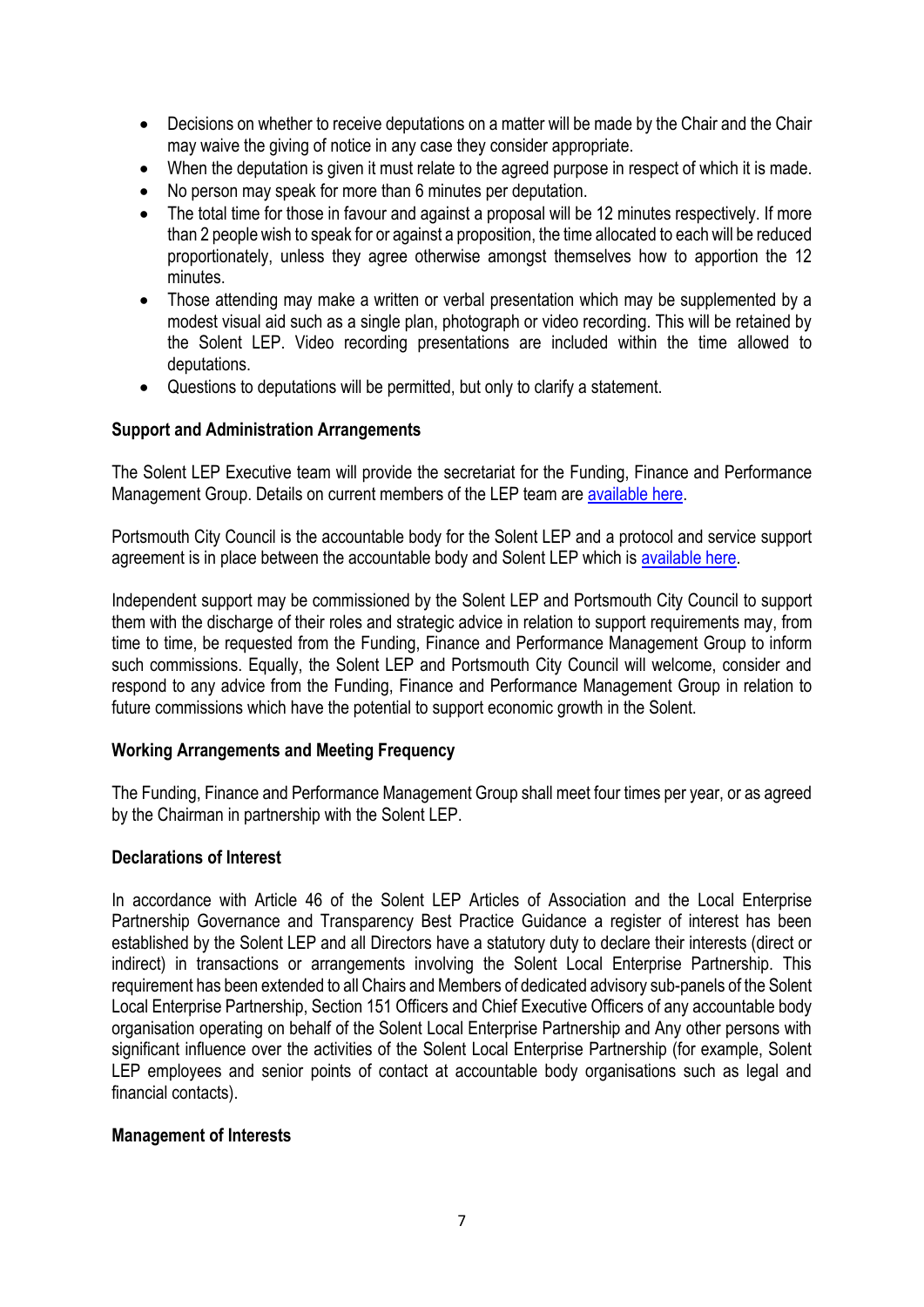- Decisions on whether to receive deputations on a matter will be made by the Chair and the Chair may waive the giving of notice in any case they consider appropriate.
- When the deputation is given it must relate to the agreed purpose in respect of which it is made.
- No person may speak for more than 6 minutes per deputation.
- The total time for those in favour and against a proposal will be 12 minutes respectively. If more than 2 people wish to speak for or against a proposition, the time allocated to each will be reduced proportionately, unless they agree otherwise amongst themselves how to apportion the 12 minutes.
- Those attending may make a written or verbal presentation which may be supplemented by a modest visual aid such as a single plan, photograph or video recording. This will be retained by the Solent LEP. Video recording presentations are included within the time allowed to deputations.
- Questions to deputations will be permitted, but only to clarify a statement.

### **Support and Administration Arrangements**

The Solent LEP Executive team will provide the secretariat for the Funding, Finance and Performance Management Group. Details on current members of the LEP team are [available here.](https://solentlep.org.uk/who-we-are/solent-lep-team/)

Portsmouth City Council is the accountable body for the Solent LEP and a protocol and service support agreement is in place between the accountable body and Solent LEP which is [available here.](https://solentlep.org.uk/media/4009/lep-pcc-protocol-service-support-agreement-2021.pdf)

Independent support may be commissioned by the Solent LEP and Portsmouth City Council to support them with the discharge of their roles and strategic advice in relation to support requirements may, from time to time, be requested from the Funding, Finance and Performance Management Group to inform such commissions. Equally, the Solent LEP and Portsmouth City Council will welcome, consider and respond to any advice from the Funding, Finance and Performance Management Group in relation to future commissions which have the potential to support economic growth in the Solent.

# **Working Arrangements and Meeting Frequency**

The Funding, Finance and Performance Management Group shall meet four times per year, or as agreed by the Chairman in partnership with the Solent LEP.

#### **Declarations of Interest**

In accordance with Article 46 of the Solent LEP Articles of Association and the Local Enterprise Partnership Governance and Transparency Best Practice Guidance a register of interest has been established by the Solent LEP and all Directors have a statutory duty to declare their interests (direct or indirect) in transactions or arrangements involving the Solent Local Enterprise Partnership. This requirement has been extended to all Chairs and Members of dedicated advisory sub-panels of the Solent Local Enterprise Partnership, Section 151 Officers and Chief Executive Officers of any accountable body organisation operating on behalf of the Solent Local Enterprise Partnership and Any other persons with significant influence over the activities of the Solent Local Enterprise Partnership (for example, Solent LEP employees and senior points of contact at accountable body organisations such as legal and financial contacts).

# **Management of Interests**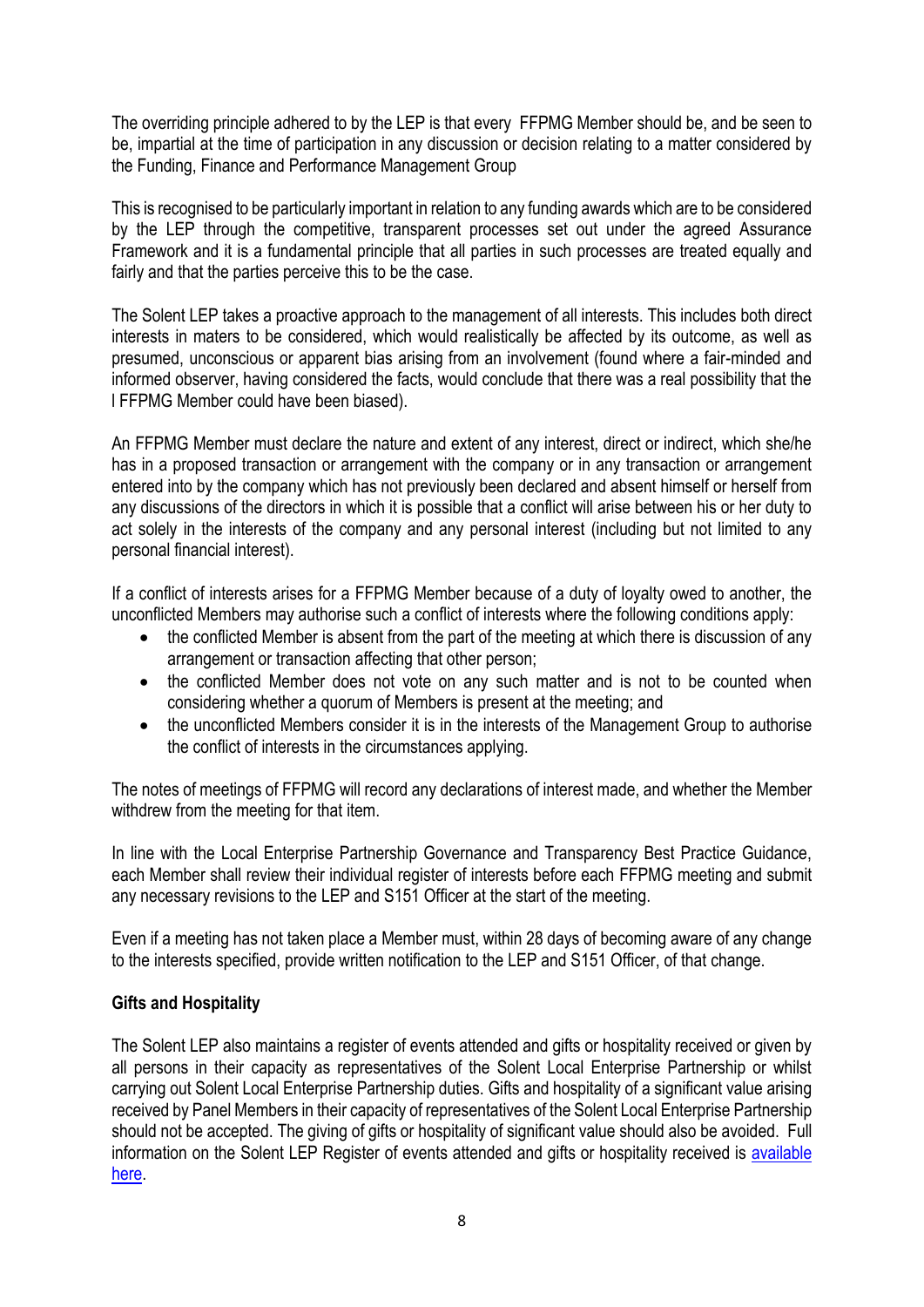The overriding principle adhered to by the LEP is that every FFPMG Member should be, and be seen to be, impartial at the time of participation in any discussion or decision relating to a matter considered by the Funding, Finance and Performance Management Group

This is recognised to be particularly important in relation to any funding awards which are to be considered by the LEP through the competitive, transparent processes set out under the agreed Assurance Framework and it is a fundamental principle that all parties in such processes are treated equally and fairly and that the parties perceive this to be the case.

The Solent LEP takes a proactive approach to the management of all interests. This includes both direct interests in maters to be considered, which would realistically be affected by its outcome, as well as presumed, unconscious or apparent bias arising from an involvement (found where a fair-minded and informed observer, having considered the facts, would conclude that there was a real possibility that the l FFPMG Member could have been biased).

An FFPMG Member must declare the nature and extent of any interest, direct or indirect, which she/he has in a proposed transaction or arrangement with the company or in any transaction or arrangement entered into by the company which has not previously been declared and absent himself or herself from any discussions of the directors in which it is possible that a conflict will arise between his or her duty to act solely in the interests of the company and any personal interest (including but not limited to any personal financial interest).

If a conflict of interests arises for a FFPMG Member because of a duty of loyalty owed to another, the unconflicted Members may authorise such a conflict of interests where the following conditions apply:

- the conflicted Member is absent from the part of the meeting at which there is discussion of any arrangement or transaction affecting that other person;
- the conflicted Member does not vote on any such matter and is not to be counted when considering whether a quorum of Members is present at the meeting; and
- the unconflicted Members consider it is in the interests of the Management Group to authorise the conflict of interests in the circumstances applying.

The notes of meetings of FFPMG will record any declarations of interest made, and whether the Member withdrew from the meeting for that item.

In line with the Local Enterprise Partnership Governance and Transparency Best Practice Guidance, each Member shall review their individual register of interests before each FFPMG meeting and submit any necessary revisions to the LEP and S151 Officer at the start of the meeting.

Even if a meeting has not taken place a Member must, within 28 days of becoming aware of any change to the interests specified, provide written notification to the LEP and S151 Officer, of that change.

# **Gifts and Hospitality**

The Solent LEP also maintains a register of events attended and gifts or hospitality received or given by all persons in their capacity as representatives of the Solent Local Enterprise Partnership or whilst carrying out Solent Local Enterprise Partnership duties. Gifts and hospitality of a significant value arising received by Panel Members in their capacity of representatives of the Solent Local Enterprise Partnership should not be accepted. The giving of gifts or hospitality of significant value should also be avoided. Full information on the Solent LEP Register of events attended and gifts or hospitality received is [available](https://solentlep.org.uk/media/1265/register_of_events_attended-_hospitality_and_gifts_received_form.pdf)  [here.](https://solentlep.org.uk/media/1265/register_of_events_attended-_hospitality_and_gifts_received_form.pdf)